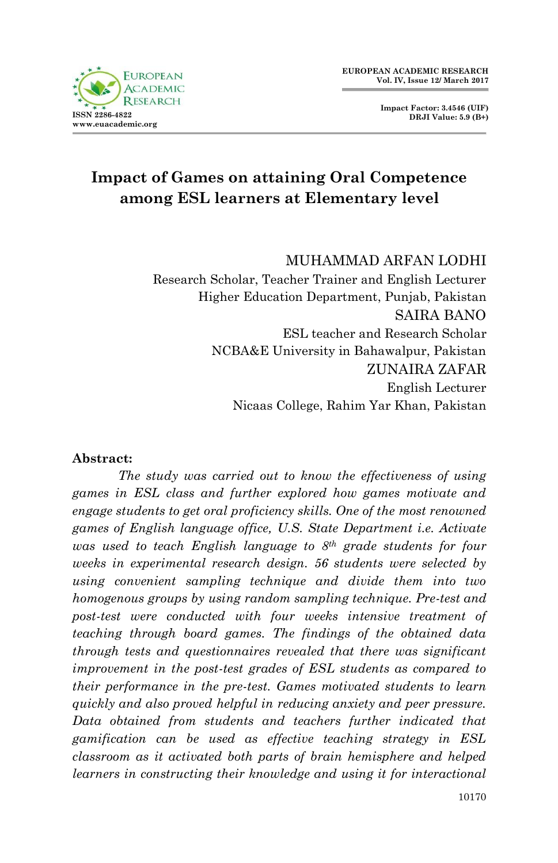**Impact Factor: 3.4546 (UIF) DRJI Value: 5.9 (B+)**



# **Impact of Games on attaining Oral Competence among ESL learners at Elementary level**

#### MUHAMMAD ARFAN LODHI Research Scholar, Teacher Trainer and English Lecturer Higher Education Department, Punjab, Pakistan

SAIRA BANO ESL teacher and Research Scholar NCBA&E University in Bahawalpur, Pakistan ZUNAIRA ZAFAR English Lecturer Nicaas College, Rahim Yar Khan, Pakistan

#### **Abstract:**

*The study was carried out to know the effectiveness of using games in ESL class and further explored how games motivate and engage students to get oral proficiency skills. One of the most renowned games of English language office, U.S. State Department i.e. Activate was used to teach English language to 8th grade students for four weeks in experimental research design. 56 students were selected by using convenient sampling technique and divide them into two homogenous groups by using random sampling technique. Pre-test and post-test were conducted with four weeks intensive treatment of teaching through board games. The findings of the obtained data through tests and questionnaires revealed that there was significant improvement in the post-test grades of ESL students as compared to their performance in the pre-test. Games motivated students to learn quickly and also proved helpful in reducing anxiety and peer pressure. Data obtained from students and teachers further indicated that gamification can be used as effective teaching strategy in ESL classroom as it activated both parts of brain hemisphere and helped learners in constructing their knowledge and using it for interactional*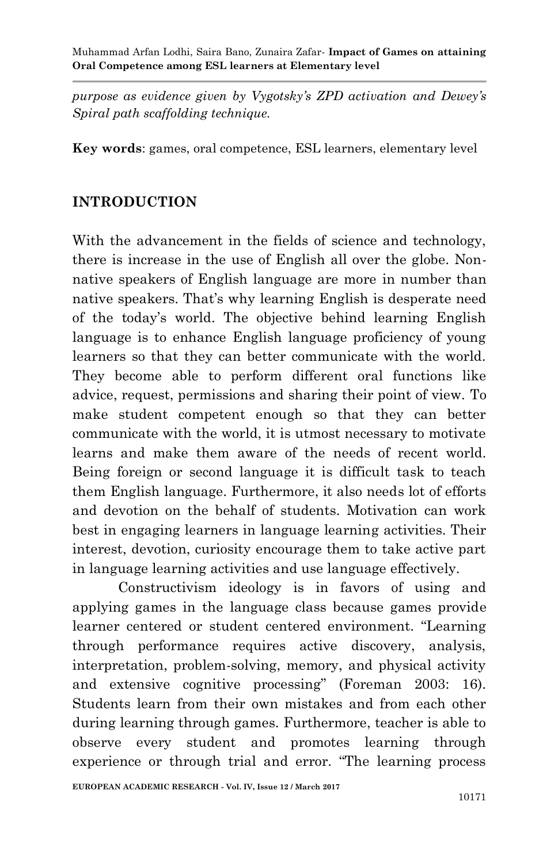*purpose as evidence given by Vygotsky's ZPD activation and Dewey's Spiral path scaffolding technique.*

**Key words**: games, oral competence, ESL learners, elementary level

#### **INTRODUCTION**

With the advancement in the fields of science and technology, there is increase in the use of English all over the globe. Nonnative speakers of English language are more in number than native speakers. That's why learning English is desperate need of the today's world. The objective behind learning English language is to enhance English language proficiency of young learners so that they can better communicate with the world. They become able to perform different oral functions like advice, request, permissions and sharing their point of view. To make student competent enough so that they can better communicate with the world, it is utmost necessary to motivate learns and make them aware of the needs of recent world. Being foreign or second language it is difficult task to teach them English language. Furthermore, it also needs lot of efforts and devotion on the behalf of students. Motivation can work best in engaging learners in language learning activities. Their interest, devotion, curiosity encourage them to take active part in language learning activities and use language effectively.

Constructivism ideology is in favors of using and applying games in the language class because games provide learner centered or student centered environment. "Learning through performance requires active discovery, analysis, interpretation, problem-solving, memory, and physical activity and extensive cognitive processing" (Foreman 2003: 16). Students learn from their own mistakes and from each other during learning through games. Furthermore, teacher is able to observe every student and promotes learning through experience or through trial and error. "The learning process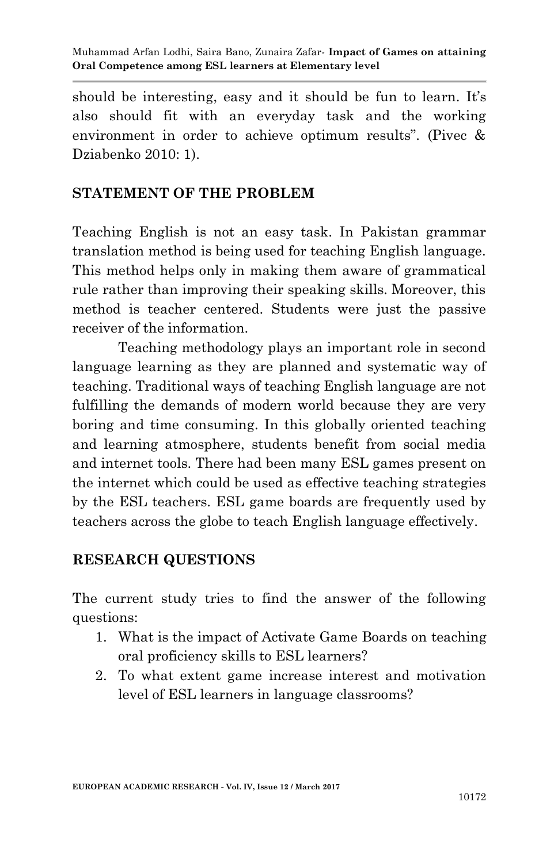should be interesting, easy and it should be fun to learn. It's also should fit with an everyday task and the working environment in order to achieve optimum results". (Pivec & Dziabenko 2010: 1).

#### **STATEMENT OF THE PROBLEM**

Teaching English is not an easy task. In Pakistan grammar translation method is being used for teaching English language. This method helps only in making them aware of grammatical rule rather than improving their speaking skills. Moreover, this method is teacher centered. Students were just the passive receiver of the information.

Teaching methodology plays an important role in second language learning as they are planned and systematic way of teaching. Traditional ways of teaching English language are not fulfilling the demands of modern world because they are very boring and time consuming. In this globally oriented teaching and learning atmosphere, students benefit from social media and internet tools. There had been many ESL games present on the internet which could be used as effective teaching strategies by the ESL teachers. ESL game boards are frequently used by teachers across the globe to teach English language effectively.

#### **RESEARCH QUESTIONS**

The current study tries to find the answer of the following questions:

- 1. What is the impact of Activate Game Boards on teaching oral proficiency skills to ESL learners?
- 2. To what extent game increase interest and motivation level of ESL learners in language classrooms?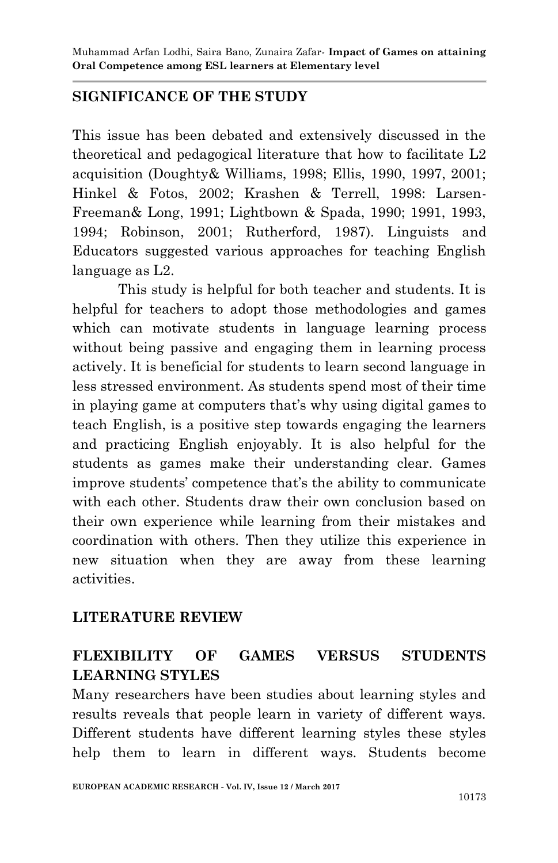## **SIGNIFICANCE OF THE STUDY**

This issue has been debated and extensively discussed in the theoretical and pedagogical literature that how to facilitate L2 acquisition (Doughty& Williams, 1998; Ellis, 1990, 1997, 2001; Hinkel & Fotos, 2002; Krashen & Terrell, 1998: Larsen-Freeman& Long, 1991; Lightbown & Spada, 1990; 1991, 1993, 1994; Robinson, 2001; Rutherford, 1987). Linguists and Educators suggested various approaches for teaching English language as L2.

This study is helpful for both teacher and students. It is helpful for teachers to adopt those methodologies and games which can motivate students in language learning process without being passive and engaging them in learning process actively. It is beneficial for students to learn second language in less stressed environment. As students spend most of their time in playing game at computers that's why using digital games to teach English, is a positive step towards engaging the learners and practicing English enjoyably. It is also helpful for the students as games make their understanding clear. Games improve students' competence that's the ability to communicate with each other. Students draw their own conclusion based on their own experience while learning from their mistakes and coordination with others. Then they utilize this experience in new situation when they are away from these learning activities.

#### **LITERATURE REVIEW**

## **FLEXIBILITY OF GAMES VERSUS STUDENTS LEARNING STYLES**

Many researchers have been studies about learning styles and results reveals that people learn in variety of different ways. Different students have different learning styles these styles help them to learn in different ways. Students become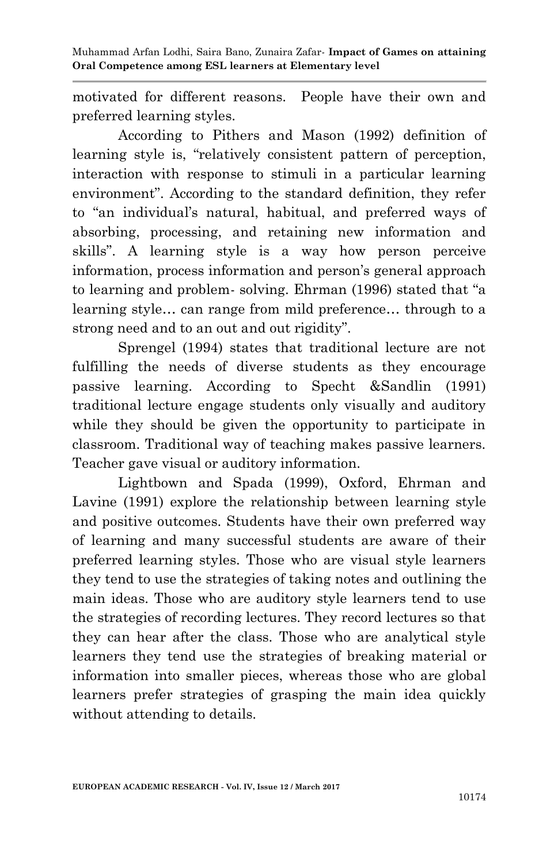motivated for different reasons. People have their own and preferred learning styles.

According to Pithers and Mason (1992) definition of learning style is, "relatively consistent pattern of perception, interaction with response to stimuli in a particular learning environment". According to the standard definition, they refer to "an individual's natural, habitual, and preferred ways of absorbing, processing, and retaining new information and skills". A learning style is a way how person perceive information, process information and person's general approach to learning and problem- solving. Ehrman (1996) stated that "a learning style… can range from mild preference… through to a strong need and to an out and out rigidity".

Sprengel (1994) states that traditional lecture are not fulfilling the needs of diverse students as they encourage passive learning. According to Specht &Sandlin (1991) traditional lecture engage students only visually and auditory while they should be given the opportunity to participate in classroom. Traditional way of teaching makes passive learners. Teacher gave visual or auditory information.

Lightbown and Spada (1999), Oxford, Ehrman and Lavine (1991) explore the relationship between learning style and positive outcomes. Students have their own preferred way of learning and many successful students are aware of their preferred learning styles. Those who are visual style learners they tend to use the strategies of taking notes and outlining the main ideas. Those who are auditory style learners tend to use the strategies of recording lectures. They record lectures so that they can hear after the class. Those who are analytical style learners they tend use the strategies of breaking material or information into smaller pieces, whereas those who are global learners prefer strategies of grasping the main idea quickly without attending to details.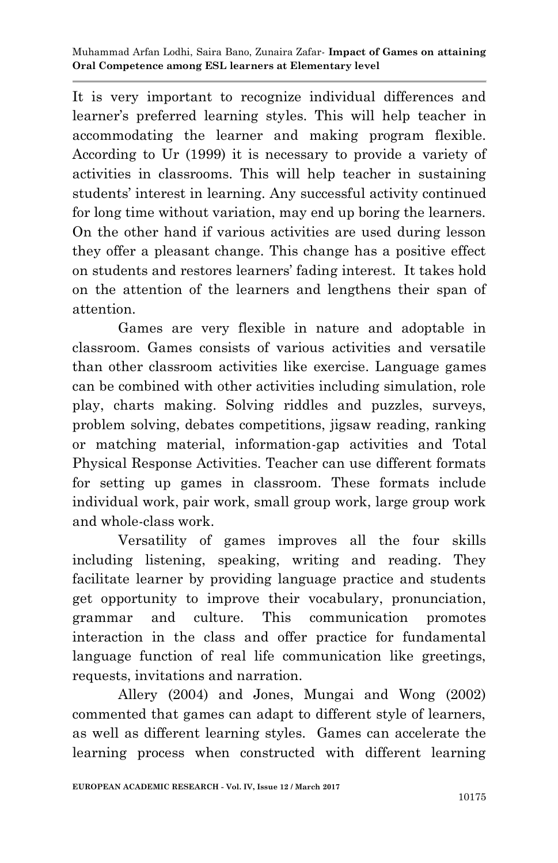It is very important to recognize individual differences and learner's preferred learning styles. This will help teacher in accommodating the learner and making program flexible. According to Ur (1999) it is necessary to provide a variety of activities in classrooms. This will help teacher in sustaining students' interest in learning. Any successful activity continued for long time without variation, may end up boring the learners. On the other hand if various activities are used during lesson they offer a pleasant change. This change has a positive effect on students and restores learners' fading interest. It takes hold on the attention of the learners and lengthens their span of attention.

Games are very flexible in nature and adoptable in classroom. Games consists of various activities and versatile than other classroom activities like exercise. Language games can be combined with other activities including simulation, role play, charts making. Solving riddles and puzzles, surveys, problem solving, debates competitions, jigsaw reading, ranking or matching material, information-gap activities and Total Physical Response Activities. Teacher can use different formats for setting up games in classroom. These formats include individual work, pair work, small group work, large group work and whole-class work.

Versatility of games improves all the four skills including listening, speaking, writing and reading. They facilitate learner by providing language practice and students get opportunity to improve their vocabulary, pronunciation, grammar and culture. This communication promotes interaction in the class and offer practice for fundamental language function of real life communication like greetings, requests, invitations and narration.

Allery (2004) and Jones, Mungai and Wong (2002) commented that games can adapt to different style of learners, as well as different learning styles. Games can accelerate the learning process when constructed with different learning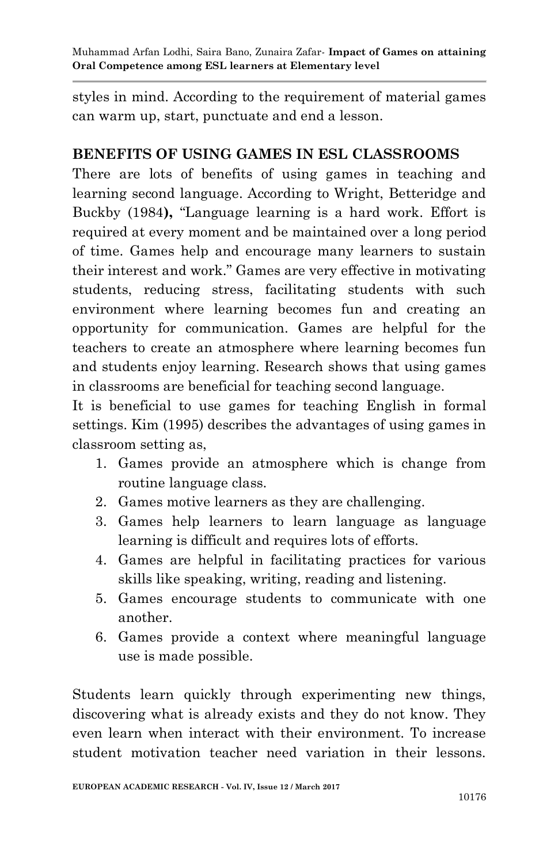styles in mind. According to the requirement of material games can warm up, start, punctuate and end a lesson.

## **BENEFITS OF USING GAMES IN ESL CLASSROOMS**

There are lots of benefits of using games in teaching and learning second language. According to Wright, Betteridge and Buckby (1984**),** "Language learning is a hard work. Effort is required at every moment and be maintained over a long period of time. Games help and encourage many learners to sustain their interest and work." Games are very effective in motivating students, reducing stress, facilitating students with such environment where learning becomes fun and creating an opportunity for communication. Games are helpful for the teachers to create an atmosphere where learning becomes fun and students enjoy learning. Research shows that using games in classrooms are beneficial for teaching second language.

It is beneficial to use games for teaching English in formal settings. Kim (1995) describes the advantages of using games in classroom setting as,

- 1. Games provide an atmosphere which is change from routine language class.
- 2. Games motive learners as they are challenging.
- 3. Games help learners to learn language as language learning is difficult and requires lots of efforts.
- 4. Games are helpful in facilitating practices for various skills like speaking, writing, reading and listening.
- 5. Games encourage students to communicate with one another.
- 6. Games provide a context where meaningful language use is made possible.

Students learn quickly through experimenting new things, discovering what is already exists and they do not know. They even learn when interact with their environment. To increase student motivation teacher need variation in their lessons.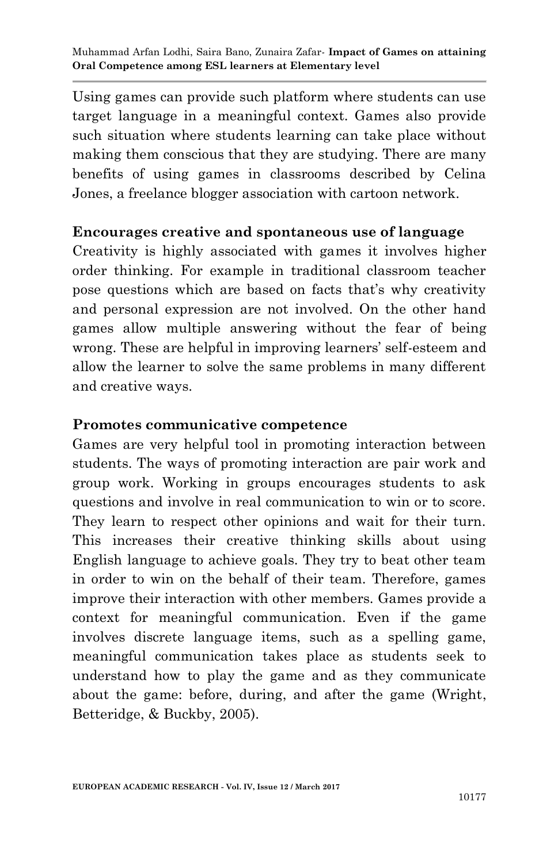Using games can provide such platform where students can use target language in a meaningful context. Games also provide such situation where students learning can take place without making them conscious that they are studying. There are many benefits of using games in classrooms described by Celina Jones, a freelance blogger association with cartoon network.

#### **Encourages creative and spontaneous use of language**

Creativity is highly associated with games it involves higher order thinking. For example in traditional classroom teacher pose questions which are based on facts that's why creativity and personal expression are not involved. On the other hand games allow multiple answering without the fear of being wrong. These are helpful in improving learners' self-esteem and allow the learner to solve the same problems in many different and creative ways.

#### **Promotes communicative competence**

Games are very helpful tool in promoting interaction between students. The ways of promoting interaction are pair work and group work. Working in groups encourages students to ask questions and involve in real communication to win or to score. They learn to respect other opinions and wait for their turn. This increases their creative thinking skills about using English language to achieve goals. They try to beat other team in order to win on the behalf of their team. Therefore, games improve their interaction with other members. Games provide a context for meaningful communication. Even if the game involves discrete language items, such as a spelling game, meaningful communication takes place as students seek to understand how to play the game and as they communicate about the game: before, during, and after the game (Wright, Betteridge, & Buckby, 2005).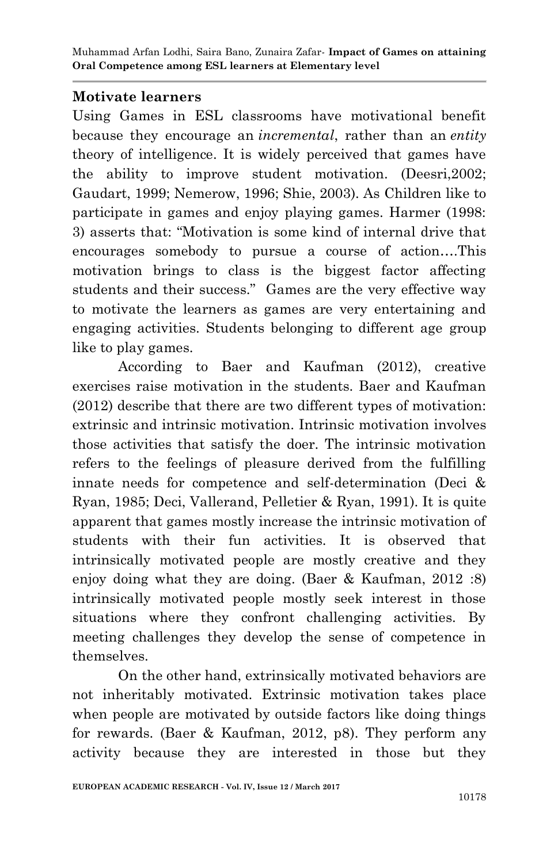#### **Motivate learners**

Using Games in ESL classrooms have motivational benefit because they encourage an *incremental*, rather than an *entity*  theory of intelligence. It is widely perceived that games have the ability to improve student motivation. (Deesri,2002; Gaudart, 1999; Nemerow, 1996; Shie, 2003). As Children like to participate in games and enjoy playing games. Harmer (1998: 3) asserts that: "Motivation is some kind of internal drive that encourages somebody to pursue a course of action….This motivation brings to class is the biggest factor affecting students and their success." Games are the very effective way to motivate the learners as games are very entertaining and engaging activities. Students belonging to different age group like to play games.

According to Baer and Kaufman (2012), creative exercises raise motivation in the students. Baer and Kaufman (2012) describe that there are two different types of motivation: extrinsic and intrinsic motivation. Intrinsic motivation involves those activities that satisfy the doer. The intrinsic motivation refers to the feelings of pleasure derived from the fulfilling innate needs for competence and self-determination (Deci & Ryan, 1985; Deci, Vallerand, Pelletier & Ryan, 1991). It is quite apparent that games mostly increase the intrinsic motivation of students with their fun activities. It is observed that intrinsically motivated people are mostly creative and they enjoy doing what they are doing. (Baer & Kaufman, 2012 :8) intrinsically motivated people mostly seek interest in those situations where they confront challenging activities. By meeting challenges they develop the sense of competence in themselves.

On the other hand, extrinsically motivated behaviors are not inheritably motivated. Extrinsic motivation takes place when people are motivated by outside factors like doing things for rewards. (Baer & Kaufman, 2012, p8). They perform any activity because they are interested in those but they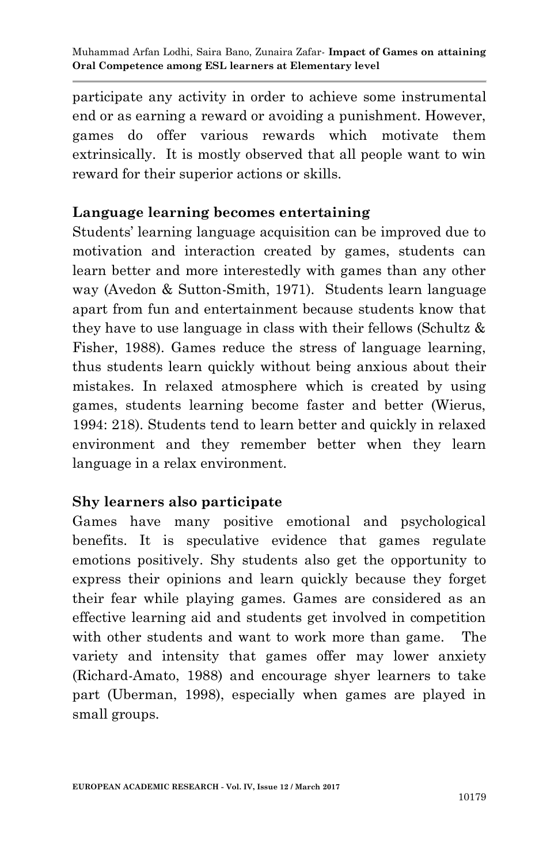participate any activity in order to achieve some instrumental end or as earning a reward or avoiding a punishment. However, games do offer various rewards which motivate them extrinsically. It is mostly observed that all people want to win reward for their superior actions or skills.

### **Language learning becomes entertaining**

Students' learning language acquisition can be improved due to motivation and interaction created by games, students can learn better and more interestedly with games than any other way (Avedon & Sutton-Smith, 1971). Students learn language apart from fun and entertainment because students know that they have to use language in class with their fellows (Schultz & Fisher, 1988). Games reduce the stress of language learning, thus students learn quickly without being anxious about their mistakes. In relaxed atmosphere which is created by using games, students learning become faster and better (Wierus, 1994: 218). Students tend to learn better and quickly in relaxed environment and they remember better when they learn language in a relax environment.

## **Shy learners also participate**

Games have many positive emotional and psychological benefits. It is speculative evidence that games regulate emotions positively. Shy students also get the opportunity to express their opinions and learn quickly because they forget their fear while playing games. Games are considered as an effective learning aid and students get involved in competition with other students and want to work more than game. The variety and intensity that games offer may lower anxiety (Richard-Amato, 1988) and encourage shyer learners to take part (Uberman, 1998), especially when games are played in small groups.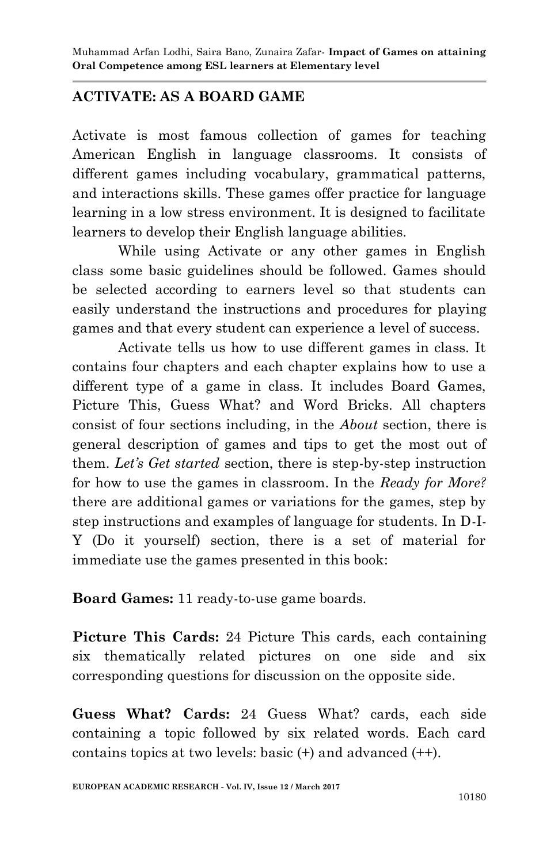## **ACTIVATE: AS A BOARD GAME**

Activate is most famous collection of games for teaching American English in language classrooms. It consists of different games including vocabulary, grammatical patterns, and interactions skills. These games offer practice for language learning in a low stress environment. It is designed to facilitate learners to develop their English language abilities.

While using Activate or any other games in English class some basic guidelines should be followed. Games should be selected according to earners level so that students can easily understand the instructions and procedures for playing games and that every student can experience a level of success.

Activate tells us how to use different games in class. It contains four chapters and each chapter explains how to use a different type of a game in class. It includes Board Games, Picture This, Guess What? and Word Bricks. All chapters consist of four sections including, in the *About* section, there is general description of games and tips to get the most out of them. *Let's Get started* section, there is step-by-step instruction for how to use the games in classroom. In the *Ready for More?* there are additional games or variations for the games, step by step instructions and examples of language for students. In D-I-Y (Do it yourself) section, there is a set of material for immediate use the games presented in this book:

**Board Games:** 11 ready-to-use game boards.

**Picture This Cards:** 24 Picture This cards, each containing six thematically related pictures on one side and six corresponding questions for discussion on the opposite side.

**Guess What? Cards:** 24 Guess What? cards, each side containing a topic followed by six related words. Each card contains topics at two levels: basic (+) and advanced (++).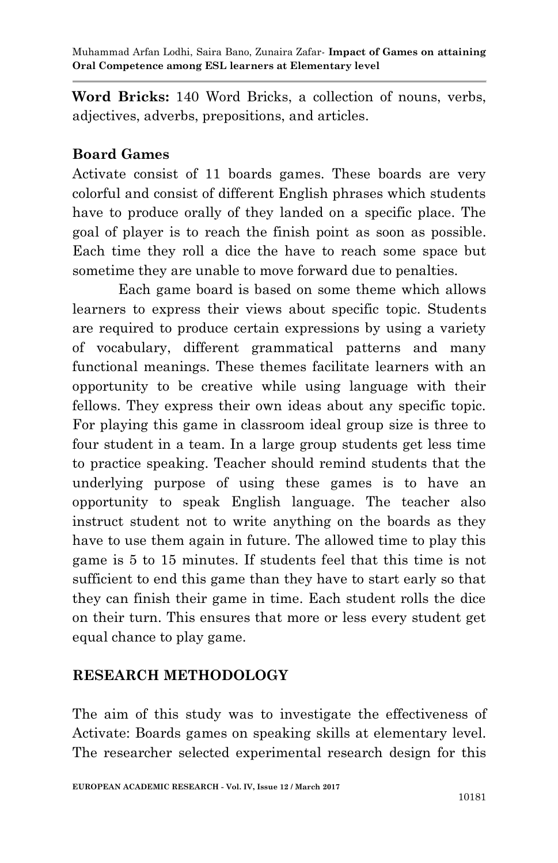**Word Bricks:** 140 Word Bricks, a collection of nouns, verbs, adjectives, adverbs, prepositions, and articles.

### **Board Games**

Activate consist of 11 boards games. These boards are very colorful and consist of different English phrases which students have to produce orally of they landed on a specific place. The goal of player is to reach the finish point as soon as possible. Each time they roll a dice the have to reach some space but sometime they are unable to move forward due to penalties.

Each game board is based on some theme which allows learners to express their views about specific topic. Students are required to produce certain expressions by using a variety of vocabulary, different grammatical patterns and many functional meanings. These themes facilitate learners with an opportunity to be creative while using language with their fellows. They express their own ideas about any specific topic. For playing this game in classroom ideal group size is three to four student in a team. In a large group students get less time to practice speaking. Teacher should remind students that the underlying purpose of using these games is to have an opportunity to speak English language. The teacher also instruct student not to write anything on the boards as they have to use them again in future. The allowed time to play this game is 5 to 15 minutes. If students feel that this time is not sufficient to end this game than they have to start early so that they can finish their game in time. Each student rolls the dice on their turn. This ensures that more or less every student get equal chance to play game.

## **RESEARCH METHODOLOGY**

The aim of this study was to investigate the effectiveness of Activate: Boards games on speaking skills at elementary level. The researcher selected experimental research design for this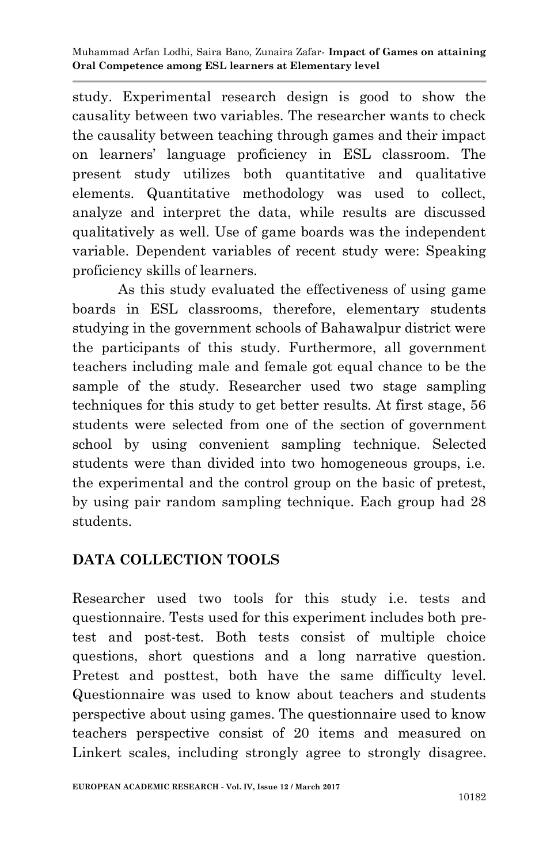study. Experimental research design is good to show the causality between two variables. The researcher wants to check the causality between teaching through games and their impact on learners' language proficiency in ESL classroom. The present study utilizes both quantitative and qualitative elements. Quantitative methodology was used to collect, analyze and interpret the data, while results are discussed qualitatively as well. Use of game boards was the independent variable. Dependent variables of recent study were: Speaking proficiency skills of learners.

As this study evaluated the effectiveness of using game boards in ESL classrooms, therefore, elementary students studying in the government schools of Bahawalpur district were the participants of this study. Furthermore, all government teachers including male and female got equal chance to be the sample of the study. Researcher used two stage sampling techniques for this study to get better results. At first stage, 56 students were selected from one of the section of government school by using convenient sampling technique. Selected students were than divided into two homogeneous groups, i.e. the experimental and the control group on the basic of pretest, by using pair random sampling technique. Each group had 28 students.

## **DATA COLLECTION TOOLS**

Researcher used two tools for this study i.e. tests and questionnaire. Tests used for this experiment includes both pretest and post-test. Both tests consist of multiple choice questions, short questions and a long narrative question. Pretest and posttest, both have the same difficulty level. Questionnaire was used to know about teachers and students perspective about using games. The questionnaire used to know teachers perspective consist of 20 items and measured on Linkert scales, including strongly agree to strongly disagree.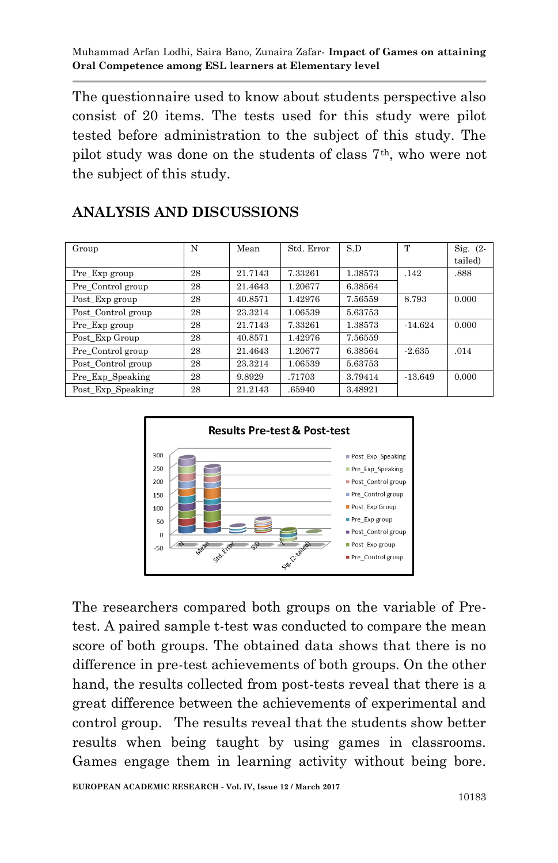The questionnaire used to know about students perspective also consist of 20 items. The tests used for this study were pilot tested before administration to the subject of this study. The pilot study was done on the students of class 7th, who were not the subject of this study.

| Group              | N  | Mean    | Std. Error | S.D     | T         | Sig. $(2 -$ |
|--------------------|----|---------|------------|---------|-----------|-------------|
|                    |    |         |            |         |           | tailed)     |
| Pre_Exp group      | 28 | 21.7143 | 7.33261    | 1.38573 | .142      | .888        |
| Pre Control group  | 28 | 21.4643 | 1.20677    | 6.38564 |           |             |
| Post Exp group     | 28 | 40.8571 | 1.42976    | 7.56559 | 8.793     | 0.000       |
| Post Control group | 28 | 23.3214 | 1.06539    | 5.63753 |           |             |
| Pre_Exp group      | 28 | 21.7143 | 7.33261    | 1.38573 | $-14.624$ | 0.000       |
| Post_Exp Group     | 28 | 40.8571 | 1.42976    | 7.56559 |           |             |
| Pre_Control group  | 28 | 21.4643 | 1.20677    | 6.38564 | $-2.635$  | .014        |
| Post Control group | 28 | 23.3214 | 1.06539    | 5.63753 |           |             |
| Pre_Exp_Speaking   | 28 | 9.8929  | .71703     | 3.79414 | $-13.649$ | 0.000       |
| Post Exp Speaking  | 28 | 21.2143 | .65940     | 3.48921 |           |             |

## **ANALYSIS AND DISCUSSIONS**



The researchers compared both groups on the variable of Pretest. A paired sample t-test was conducted to compare the mean score of both groups. The obtained data shows that there is no difference in pre-test achievements of both groups. On the other hand, the results collected from post-tests reveal that there is a great difference between the achievements of experimental and control group. The results reveal that the students show better results when being taught by using games in classrooms. Games engage them in learning activity without being bore.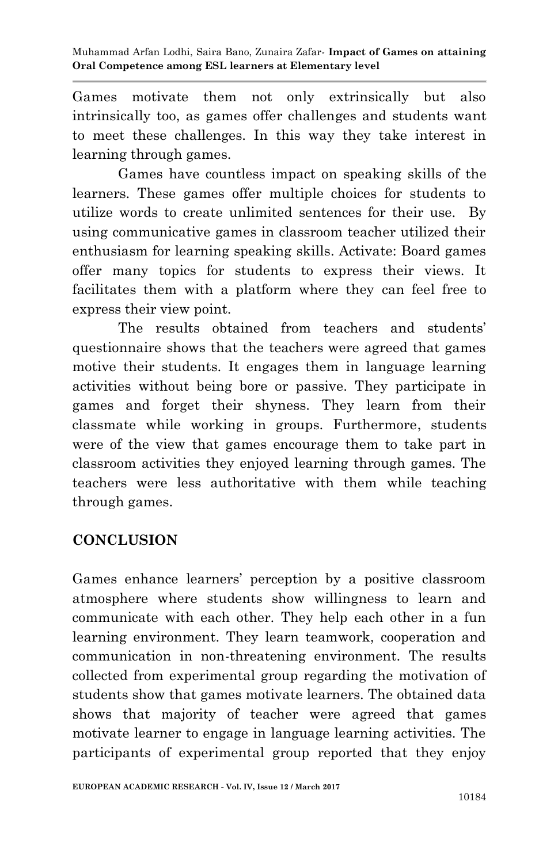Games motivate them not only extrinsically but also intrinsically too, as games offer challenges and students want to meet these challenges. In this way they take interest in learning through games.

Games have countless impact on speaking skills of the learners. These games offer multiple choices for students to utilize words to create unlimited sentences for their use. By using communicative games in classroom teacher utilized their enthusiasm for learning speaking skills. Activate: Board games offer many topics for students to express their views. It facilitates them with a platform where they can feel free to express their view point.

The results obtained from teachers and students' questionnaire shows that the teachers were agreed that games motive their students. It engages them in language learning activities without being bore or passive. They participate in games and forget their shyness. They learn from their classmate while working in groups. Furthermore, students were of the view that games encourage them to take part in classroom activities they enjoyed learning through games. The teachers were less authoritative with them while teaching through games.

## **CONCLUSION**

Games enhance learners' perception by a positive classroom atmosphere where students show willingness to learn and communicate with each other. They help each other in a fun learning environment. They learn teamwork, cooperation and communication in non-threatening environment. The results collected from experimental group regarding the motivation of students show that games motivate learners. The obtained data shows that majority of teacher were agreed that games motivate learner to engage in language learning activities. The participants of experimental group reported that they enjoy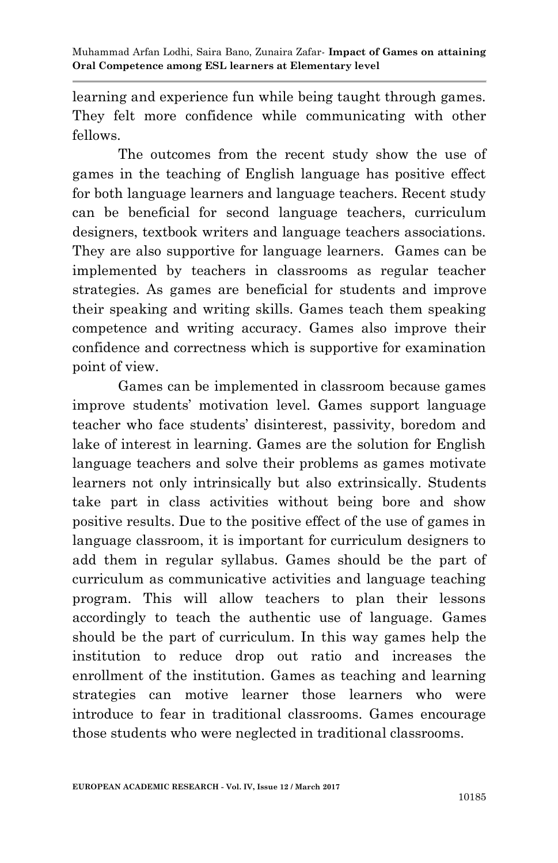learning and experience fun while being taught through games. They felt more confidence while communicating with other fellows.

The outcomes from the recent study show the use of games in the teaching of English language has positive effect for both language learners and language teachers. Recent study can be beneficial for second language teachers, curriculum designers, textbook writers and language teachers associations. They are also supportive for language learners. Games can be implemented by teachers in classrooms as regular teacher strategies. As games are beneficial for students and improve their speaking and writing skills. Games teach them speaking competence and writing accuracy. Games also improve their confidence and correctness which is supportive for examination point of view.

Games can be implemented in classroom because games improve students' motivation level. Games support language teacher who face students' disinterest, passivity, boredom and lake of interest in learning. Games are the solution for English language teachers and solve their problems as games motivate learners not only intrinsically but also extrinsically. Students take part in class activities without being bore and show positive results. Due to the positive effect of the use of games in language classroom, it is important for curriculum designers to add them in regular syllabus. Games should be the part of curriculum as communicative activities and language teaching program. This will allow teachers to plan their lessons accordingly to teach the authentic use of language. Games should be the part of curriculum. In this way games help the institution to reduce drop out ratio and increases the enrollment of the institution. Games as teaching and learning strategies can motive learner those learners who were introduce to fear in traditional classrooms. Games encourage those students who were neglected in traditional classrooms.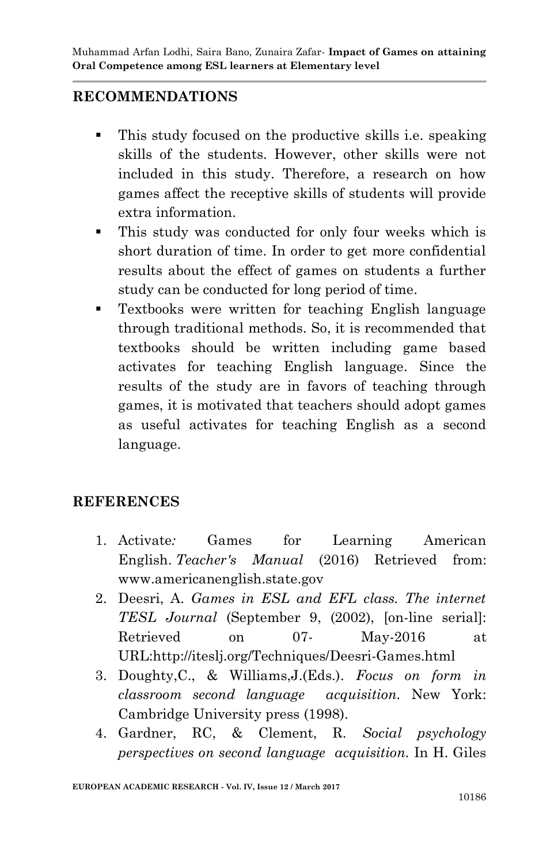## **RECOMMENDATIONS**

- This study focused on the productive skills i.e. speaking skills of the students. However, other skills were not included in this study. Therefore, a research on how games affect the receptive skills of students will provide extra information.
- This study was conducted for only four weeks which is short duration of time. In order to get more confidential results about the effect of games on students a further study can be conducted for long period of time.
- Textbooks were written for teaching English language through traditional methods. So, it is recommended that textbooks should be written including game based activates for teaching English language. Since the results of the study are in favors of teaching through games, it is motivated that teachers should adopt games as useful activates for teaching English as a second language.

## **REFERENCES**

- 1. Activate*:* Games for Learning American English. *Teacher's Manual* (2016) Retrieved from: www.americanenglish.state.gov
- 2. Deesri, A. *Games in ESL and EFL class. The internet TESL Journal* (September 9, (2002), [on-line serial]: Retrieved on 07- May-2016 at URL:http://iteslj.org/Techniques/Deesri-Games.html
- 3. Doughty,C., & Williams,J.(Eds.). *Focus on form in classroom second language acquisition.* New York: Cambridge University press (1998).
- 4. Gardner, RC, & Clement, R. *Social psychology perspectives on second language acquisition.* In H. Giles